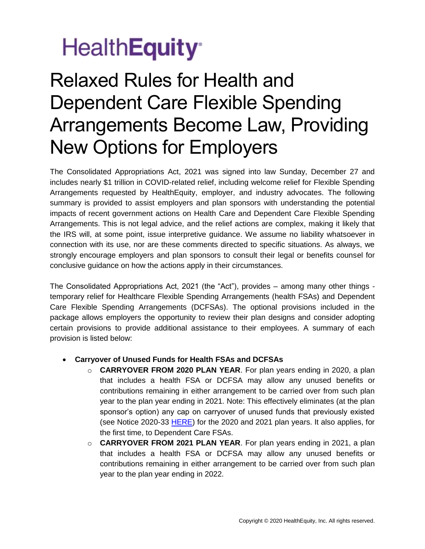# Health**Equity**<sup>®</sup>

## Relaxed Rules for Health and Dependent Care Flexible Spending Arrangements Become Law, Providing New Options for Employers

The Consolidated Appropriations Act, 2021 was signed into law Sunday, December 27 and includes nearly \$1 trillion in COVID-related relief, including welcome relief for Flexible Spending Arrangements requested by HealthEquity, employer, and industry advocates. The following summary is provided to assist employers and plan sponsors with understanding the potential impacts of recent government actions on Health Care and Dependent Care Flexible Spending Arrangements. This is not legal advice, and the relief actions are complex, making it likely that the IRS will, at some point, issue interpretive guidance. We assume no liability whatsoever in connection with its use, nor are these comments directed to specific situations. As always, we strongly encourage employers and plan sponsors to consult their legal or benefits counsel for conclusive guidance on how the actions apply in their circumstances.

The Consolidated Appropriations Act, 2021 (the "Act"), provides – among many other things temporary relief for Healthcare Flexible Spending Arrangements (health FSAs) and Dependent Care Flexible Spending Arrangements (DCFSAs). The optional provisions included in the package allows employers the opportunity to review their plan designs and consider adopting certain provisions to provide additional assistance to their employees. A summary of each provision is listed below:

#### **Carryover of Unused Funds for Health FSAs and DCFSAs**

- o **CARRYOVER FROM 2020 PLAN YEAR**. For plan years ending in 2020, a plan that includes a health FSA or DCFSA may allow any unused benefits or contributions remaining in either arrangement to be carried over from such plan year to the plan year ending in 2021. Note: This effectively eliminates (at the plan sponsor's option) any cap on carryover of unused funds that previously existed (see Notice 2020-33 [HERE\)](https://www.irs.gov/pub/irs-drop/n-20-33.pdf) for the 2020 and 2021 plan years. It also applies, for the first time, to Dependent Care FSAs.
- o **CARRYOVER FROM 2021 PLAN YEAR**. For plan years ending in 2021, a plan that includes a health FSA or DCFSA may allow any unused benefits or contributions remaining in either arrangement to be carried over from such plan year to the plan year ending in 2022.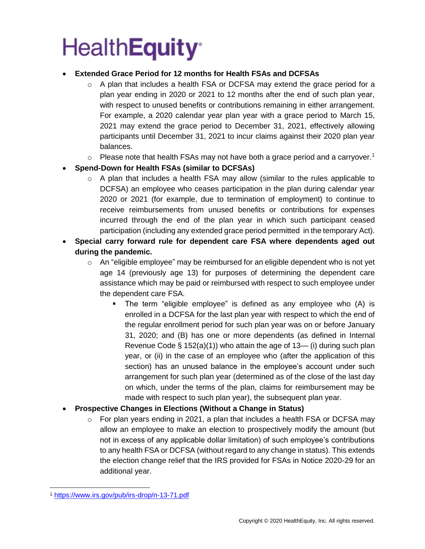# **HealthEquity®**

### **Extended Grace Period for 12 months for Health FSAs and DCFSAs**

- $\circ$  A plan that includes a health FSA or DCFSA may extend the grace period for a plan year ending in 2020 or 2021 to 12 months after the end of such plan year, with respect to unused benefits or contributions remaining in either arrangement. For example, a 2020 calendar year plan year with a grace period to March 15, 2021 may extend the grace period to December 31, 2021, effectively allowing participants until December 31, 2021 to incur claims against their 2020 plan year balances.
- $\circ$  Please note that health FSAs may not have both a grace period and a carryover.<sup>1</sup>

### **Spend-Down for Health FSAs (similar to DCFSAs)**

- $\circ$  A plan that includes a health FSA may allow (similar to the rules applicable to DCFSA) an employee who ceases participation in the plan during calendar year 2020 or 2021 (for example, due to termination of employment) to continue to receive reimbursements from unused benefits or contributions for expenses incurred through the end of the plan year in which such participant ceased participation (including any extended grace period permitted in the temporary Act).
- **Special carry forward rule for dependent care FSA where dependents aged out during the pandemic.**
	- $\circ$  An "eligible employee" may be reimbursed for an eligible dependent who is not yet age 14 (previously age 13) for purposes of determining the dependent care assistance which may be paid or reimbursed with respect to such employee under the dependent care FSA.
		- The term "eligible employee" is defined as any employee who (A) is enrolled in a DCFSA for the last plan year with respect to which the end of the regular enrollment period for such plan year was on or before January 31, 2020; and (B) has one or more dependents (as defined in Internal Revenue Code  $\S$  152(a)(1)) who attain the age of 13— (i) during such plan year, or (ii) in the case of an employee who (after the application of this section) has an unused balance in the employee's account under such arrangement for such plan year (determined as of the close of the last day on which, under the terms of the plan, claims for reimbursement may be made with respect to such plan year), the subsequent plan year.

#### **Prospective Changes in Elections (Without a Change in Status)**

 $\circ$  For plan years ending in 2021, a plan that includes a health FSA or DCFSA may allow an employee to make an election to prospectively modify the amount (but not in excess of any applicable dollar limitation) of such employee's contributions to any health FSA or DCFSA (without regard to any change in status). This extends the election change relief that the IRS provided for FSAs in Notice 2020-29 for an additional year.

<sup>1</sup> <https://www.irs.gov/pub/irs-drop/n-13-71.pdf>